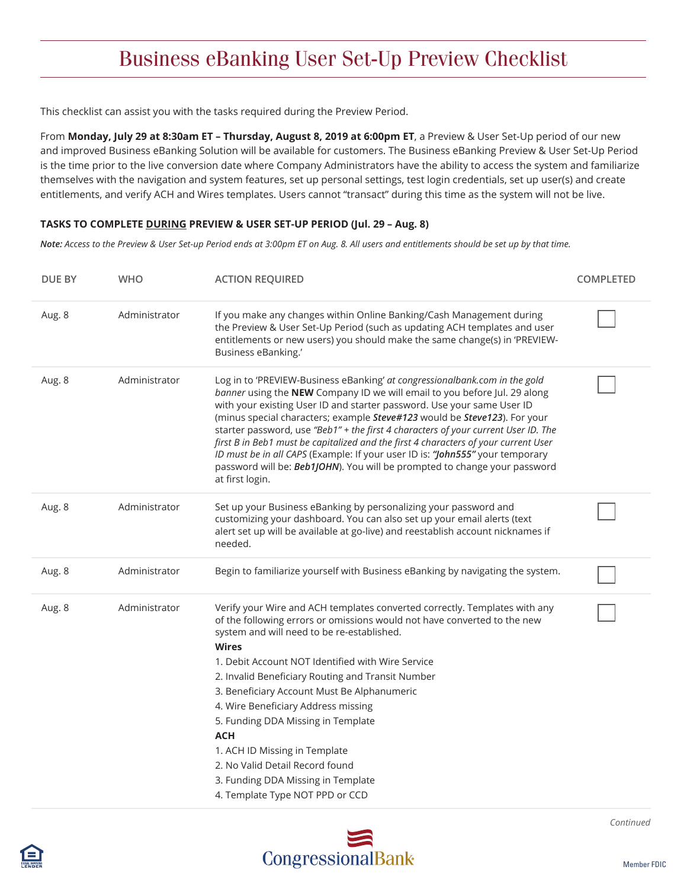## Business eBanking User Set-Up Preview Checklist

This checklist can assist you with the tasks required during the Preview Period.

From **Monday, July 29 at 8:30am ET – Thursday, August 8, 2019 at 6:00pm ET**, a Preview & User Set-Up period of our new and improved Business eBanking Solution will be available for customers. The Business eBanking Preview & User Set-Up Period is the time prior to the live conversion date where Company Administrators have the ability to access the system and familiarize themselves with the navigation and system features, set up personal settings, test login credentials, set up user(s) and create entitlements, and verify ACH and Wires templates. Users cannot "transact" during this time as the system will not be live.

#### **TASKS TO COMPLETE DURING PREVIEW & USER SET-UP PERIOD (Jul. 29 – Aug. 8)**

*Note: Access to the Preview & User Set-up Period ends at 3:00pm ET on Aug. 8. All users and entitlements should be set up by that time.* 

| DUE BY | <b>WHO</b>    | <b>ACTION REQUIRED</b>                                                                                                                                                                                                                                                                                                                                                                                                                                                                                                                                                                                                                                                       | <b>COMPLETED</b> |
|--------|---------------|------------------------------------------------------------------------------------------------------------------------------------------------------------------------------------------------------------------------------------------------------------------------------------------------------------------------------------------------------------------------------------------------------------------------------------------------------------------------------------------------------------------------------------------------------------------------------------------------------------------------------------------------------------------------------|------------------|
| Aug. 8 | Administrator | If you make any changes within Online Banking/Cash Management during<br>the Preview & User Set-Up Period (such as updating ACH templates and user<br>entitlements or new users) you should make the same change(s) in 'PREVIEW-<br>Business eBanking.'                                                                                                                                                                                                                                                                                                                                                                                                                       |                  |
| Aug. 8 | Administrator | Log in to 'PREVIEW-Business eBanking' at congressionalbank.com in the gold<br>banner using the NEW Company ID we will email to you before Jul. 29 along<br>with your existing User ID and starter password. Use your same User ID<br>(minus special characters; example Steve#123 would be Steve123). For your<br>starter password, use "Beb1" + the first 4 characters of your current User ID. The<br>first B in Beb1 must be capitalized and the first 4 characters of your current User<br>ID must be in all CAPS (Example: If your user ID is: "John555" your temporary<br>password will be: Beb1JOHN). You will be prompted to change your password<br>at first login. |                  |
| Aug. 8 | Administrator | Set up your Business eBanking by personalizing your password and<br>customizing your dashboard. You can also set up your email alerts (text<br>alert set up will be available at go-live) and reestablish account nicknames if<br>needed.                                                                                                                                                                                                                                                                                                                                                                                                                                    |                  |
| Aug. 8 | Administrator | Begin to familiarize yourself with Business eBanking by navigating the system.                                                                                                                                                                                                                                                                                                                                                                                                                                                                                                                                                                                               |                  |
| Aug. 8 | Administrator | Verify your Wire and ACH templates converted correctly. Templates with any<br>of the following errors or omissions would not have converted to the new<br>system and will need to be re-established.<br><b>Wires</b><br>1. Debit Account NOT Identified with Wire Service<br>2. Invalid Beneficiary Routing and Transit Number<br>3. Beneficiary Account Must Be Alphanumeric<br>4. Wire Beneficiary Address missing<br>5. Funding DDA Missing in Template<br><b>ACH</b><br>1. ACH ID Missing in Template<br>2. No Valid Detail Record found<br>3. Funding DDA Missing in Template<br>4. Template Type NOT PPD or CCD                                                        |                  |



*Continued*

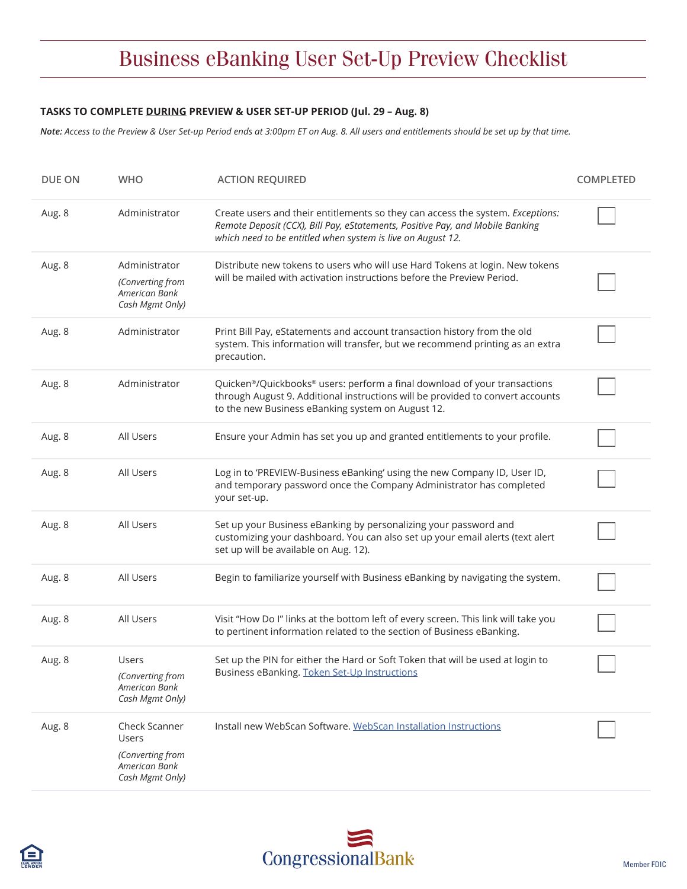# Business eBanking User Set-Up Preview Checklist

#### **TASKS TO COMPLETE DURING PREVIEW & USER SET-UP PERIOD (Jul. 29 – Aug. 8)**

*Note: Access to the Preview & User Set-up Period ends at 3:00pm ET on Aug. 8. All users and entitlements should be set up by that time.* 

| DUE ON | <b>WHO</b>                                                                            | <b>ACTION REQUIRED</b>                                                                                                                                                                                                         | <b>COMPLETED</b> |
|--------|---------------------------------------------------------------------------------------|--------------------------------------------------------------------------------------------------------------------------------------------------------------------------------------------------------------------------------|------------------|
| Aug. 8 | Administrator                                                                         | Create users and their entitlements so they can access the system. Exceptions:<br>Remote Deposit (CCX), Bill Pay, eStatements, Positive Pay, and Mobile Banking<br>which need to be entitled when system is live on August 12. |                  |
| Aug. 8 | Administrator<br>(Converting from<br>American Bank<br>Cash Mgmt Only)                 | Distribute new tokens to users who will use Hard Tokens at login. New tokens<br>will be mailed with activation instructions before the Preview Period.                                                                         |                  |
| Aug. 8 | Administrator                                                                         | Print Bill Pay, eStatements and account transaction history from the old<br>system. This information will transfer, but we recommend printing as an extra<br>precaution.                                                       |                  |
| Aug. 8 | Administrator                                                                         | Quicken <sup>®</sup> /Quickbooks® users: perform a final download of your transactions<br>through August 9. Additional instructions will be provided to convert accounts<br>to the new Business eBanking system on August 12.  |                  |
| Aug. 8 | All Users                                                                             | Ensure your Admin has set you up and granted entitlements to your profile.                                                                                                                                                     |                  |
| Aug. 8 | All Users                                                                             | Log in to 'PREVIEW-Business eBanking' using the new Company ID, User ID,<br>and temporary password once the Company Administrator has completed<br>your set-up.                                                                |                  |
| Aug. 8 | All Users                                                                             | Set up your Business eBanking by personalizing your password and<br>customizing your dashboard. You can also set up your email alerts (text alert<br>set up will be available on Aug. 12).                                     |                  |
| Aug. 8 | All Users                                                                             | Begin to familiarize yourself with Business eBanking by navigating the system.                                                                                                                                                 |                  |
| Aug. 8 | All Users                                                                             | Visit "How Do I" links at the bottom left of every screen. This link will take you<br>to pertinent information related to the section of Business eBanking.                                                                    |                  |
| Aug. 8 | <b>Users</b><br>(Converting from<br>American Bank<br>Cash Mgmt Only)                  | Set up the PIN for either the Hard or Soft Token that will be used at login to<br>Business eBanking. Token Set-Up Instructions                                                                                                 |                  |
| Aug. 8 | Check Scanner<br>Users<br>(Converting from<br><b>American Bank</b><br>Cash Mgmt Only) | Install new WebScan Software. WebScan Installation Instructions                                                                                                                                                                |                  |